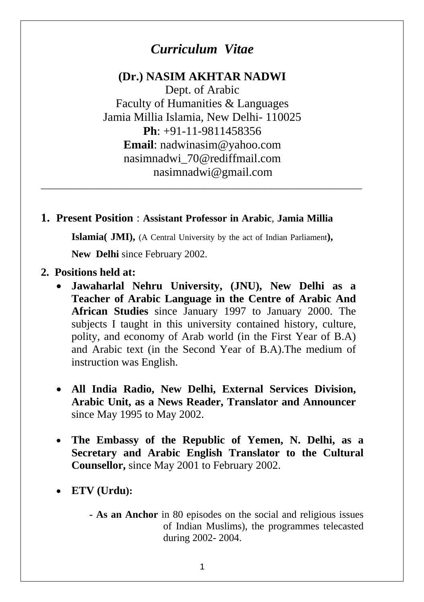# *Curriculum Vitae*

#### **(Dr.) NASIM AKHTAR NADWI**

Dept. of Arabic Faculty of Humanities & Languages Jamia Millia Islamia, New Delhi- 110025 **Ph**: +91-11-9811458356 **Email**: nadwinasim@yahoo.com nasimnadwi\_70@rediffmail.com nasimnadwi@gmail.com

#### **1. Present Position** : **Assistant Professor in Arabic**, **Jamia Millia**

**Islamia( JMI),** (A Central University by the act of Indian Parliament**),** 

\_\_\_\_\_\_\_\_\_\_\_\_\_\_\_\_\_\_\_\_\_\_\_\_\_\_\_\_\_\_\_\_\_\_\_\_\_\_\_\_\_\_\_\_\_\_\_\_\_\_\_\_\_\_\_\_\_\_\_\_\_\_\_

**New Delhi** since February 2002.

- **2. Positions held at:** 
	- **Jawaharlal Nehru University, (JNU), New Delhi as a Teacher of Arabic Language in the Centre of Arabic And African Studies** since January 1997 to January 2000. The subjects I taught in this university contained history, culture, polity, and economy of Arab world (in the First Year of B.A) and Arabic text (in the Second Year of B.A).The medium of instruction was English.
	- **All India Radio, New Delhi, External Services Division, Arabic Unit, as a News Reader, Translator and Announcer** since May 1995 to May 2002.
	- **The Embassy of the Republic of Yemen, N. Delhi, as a Secretary and Arabic English Translator to the Cultural Counsellor,** since May 2001 to February 2002.
	- **ETV (Urdu):**
		- **As an Anchor** in 80 episodes on the social and religious issues of Indian Muslims), the programmes telecasted during 2002- 2004.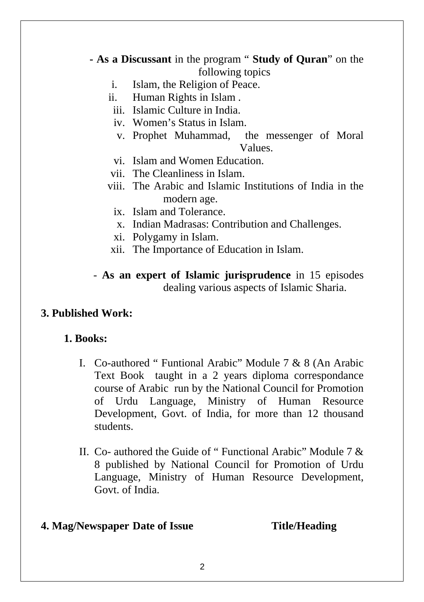- **As a Discussant** in the program " **Study of Quran**" on the following topics
	- i. Islam, the Religion of Peace.
	- ii. Human Rights in Islam .
	- iii. Islamic Culture in India.
	- iv. Women's Status in Islam.
	- v. Prophet Muhammad, the messenger of Moral Values.
	- vi. Islam and Women Education.
	- vii. The Cleanliness in Islam.
	- viii. The Arabic and Islamic Institutions of India in the modern age.
		- ix. Islam and Tolerance.
		- x. Indian Madrasas: Contribution and Challenges.
		- xi. Polygamy in Islam.
	- xii. The Importance of Education in Islam.
	- **As an expert of Islamic jurisprudence** in 15 episodes dealing various aspects of Islamic Sharia.

## **3. Published Work:**

## **1. Books:**

- I. Co-authored " Funtional Arabic" Module 7 & 8 (An Arabic Text Book taught in a 2 years diploma correspondance course of Arabic run by the National Council for Promotion of Urdu Language, Ministry of Human Resource Development, Govt. of India, for more than 12 thousand students.
- II. Co- authored the Guide of " Functional Arabic" Module 7 & 8 published by National Council for Promotion of Urdu Language, Ministry of Human Resource Development, Govt. of India.

## **4. Mag/Newspaper Date of Issue Title/Heading**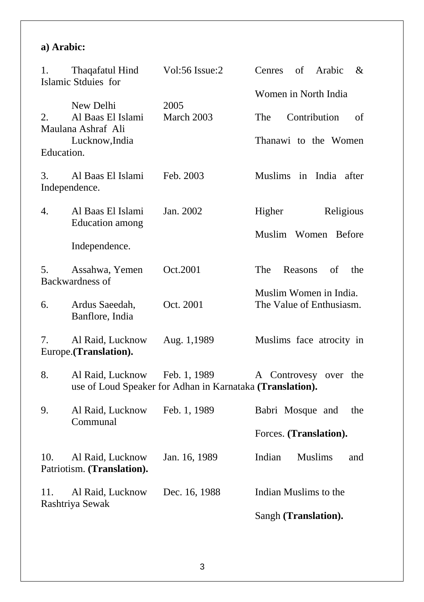#### **a) Arabic:**

| 1.               | Thaqafatul Hind<br>Islamic Stduies for                                 | Vol:56 Issue:2                                            | of Arabic<br>Cenres<br>&                                                  |
|------------------|------------------------------------------------------------------------|-----------------------------------------------------------|---------------------------------------------------------------------------|
| 2.<br>Education. | New Delhi<br>Al Baas El Islami<br>Maulana Ashraf Ali<br>Lucknow, India | 2005<br>March 2003                                        | Women in North India<br>Contribution<br>The<br>of<br>Thanawi to the Women |
| 3.               | Al Baas El Islami<br>Independence.                                     | Feb. 2003                                                 | Muslims in India after                                                    |
| 4.               | Al Baas El Islami<br><b>Education</b> among                            | Jan. 2002                                                 | Higher<br>Religious                                                       |
|                  | Independence.                                                          |                                                           | Muslim Women Before                                                       |
| 5.               | Assahwa, Yemen<br>Backwardness of                                      | Oct.2001                                                  | The<br>Reasons<br>of<br>the                                               |
| 6.               | Ardus Saeedah,<br>Banflore, India                                      | Oct. 2001                                                 | Muslim Women in India.<br>The Value of Enthusiasm.                        |
| 7.               | Al Raid, Lucknow<br>Europe.(Translation).                              | Aug. 1,1989                                               | Muslims face atrocity in                                                  |
| 8.               | Al Raid, Lucknow Feb. 1, 1989                                          | use of Loud Speaker for Adhan in Karnataka (Translation). | A Controvesy over the                                                     |
| 9.               | Al Raid, Lucknow<br>Communal                                           | Feb. 1, 1989                                              | Babri Mosque and<br>the                                                   |
|                  |                                                                        |                                                           | Forces. (Translation).                                                    |
| 10.              | Al Raid, Lucknow<br>Patriotism. (Translation).                         | Jan. 16, 1989                                             | <b>Muslims</b><br>Indian<br>and                                           |
| 11.              | Al Raid, Lucknow                                                       | Dec. 16, 1988                                             | Indian Muslims to the                                                     |
| Rashtriya Sewak  |                                                                        | Sangh (Translation).                                      |                                                                           |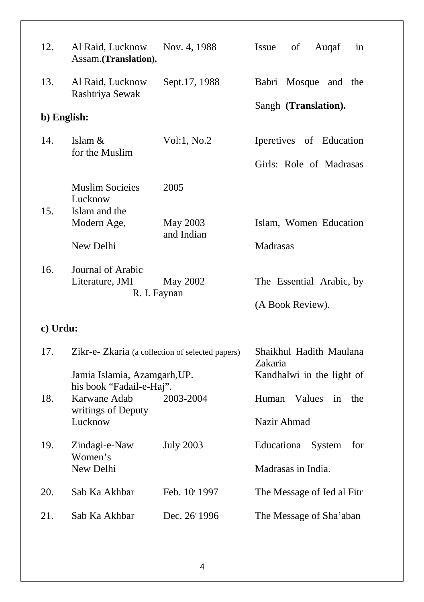| 12.         | Al Raid, Lucknow<br>Assam.(Translation).                                                                     | Nov. 4, 1988             | of<br>Issue<br>Augaf<br>in                                      |
|-------------|--------------------------------------------------------------------------------------------------------------|--------------------------|-----------------------------------------------------------------|
| 13.         | Al Raid, Lucknow<br>Rashtriya Sewak                                                                          | Sept.17, 1988            | Babri Mosque and the                                            |
| b) English: |                                                                                                              | Sangh (Translation).     |                                                                 |
| 14.         | Islam &<br>for the Muslim                                                                                    | Vol:1, No.2              | Iperetives of Education                                         |
|             |                                                                                                              |                          | Girls: Role of Madrasas                                         |
|             | <b>Muslim Socieies</b><br>Lucknow                                                                            | 2005                     |                                                                 |
| 15.         | Islam and the<br>Modern Age,                                                                                 | May 2003<br>and Indian   | Islam, Women Education                                          |
|             | New Delhi                                                                                                    |                          | Madrasas                                                        |
| 16.         | Journal of Arabic<br>Literature, JMI                                                                         | May 2002<br>R. I. Faynan | The Essential Arabic, by<br>(A Book Review).                    |
| c) Urdu:    |                                                                                                              |                          |                                                                 |
| 17.         | Zikr-e- Zkaria (a collection of selected papers)<br>Jamia Islamia, Azamgarh, UP.<br>his book "Fadail-e-Haj". |                          | Shaikhul Hadith Maulana<br>Zakaria<br>Kandhalwi in the light of |
|             |                                                                                                              |                          |                                                                 |
| 18.         | Karwane Adab<br>writings of Deputy                                                                           | 2003-2004                | Values<br>Human<br>in<br>the                                    |
|             | Lucknow                                                                                                      |                          | Nazir Ahmad                                                     |
| 19.         | Zindagi-e-Naw<br>Women's<br>New Delhi                                                                        | <b>July 2003</b>         | Educationa<br>System<br>for                                     |
|             |                                                                                                              |                          | Madrasas in India.                                              |
| 20.         | Sab Ka Akhbar                                                                                                | Feb. 10' 1997            | The Message of Ied al Fitr                                      |
| 21.         | Sab Ka Akhbar                                                                                                | Dec. 26' 1996            | The Message of Sha'aban                                         |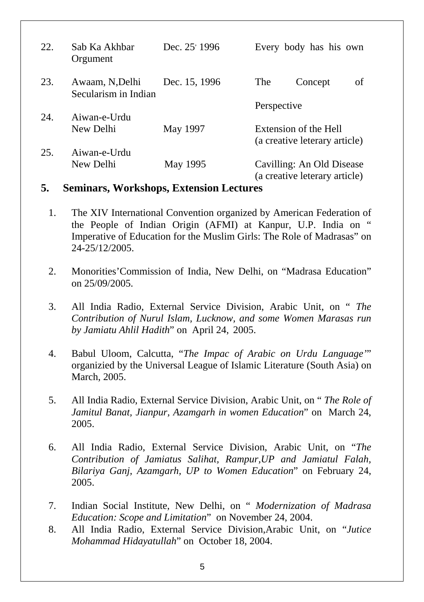| 22. | Sab Ka Akhbar<br>Orgument               | Dec. $25'$ 1996 | Every body has his own                                     |
|-----|-----------------------------------------|-----------------|------------------------------------------------------------|
| 23. | Awaam, N, Delhi<br>Secularism in Indian | Dec. 15, 1996   | The<br>of<br>Concept                                       |
|     |                                         |                 | Perspective                                                |
| 24. | Aiwan-e-Urdu                            |                 |                                                            |
|     | New Delhi                               | May 1997        | Extension of the Hell<br>(a creative leterary article)     |
| 25. | Aiwan-e-Urdu                            |                 |                                                            |
|     | New Delhi                               | May 1995        | Cavilling: An Old Disease<br>(a creative leterary article) |

#### **5. Seminars, Workshops, Extension Lectures**

- 1. The XIV International Convention organized by American Federation of the People of Indian Origin (AFMI) at Kanpur, U.P. India on " Imperative of Education for the Muslim Girls: The Role of Madrasas" on 24-25/12/2005.
- 2. Monorities'Commission of India, New Delhi, on "Madrasa Education" on 25/09/2005.
- 3. All India Radio, External Service Division, Arabic Unit, on " *The Contribution of Nurul Islam, Lucknow, and some Women Marasas run by Jamiatu Ahlil Hadith*" on April 24, 2005.
- 4. Babul Uloom, Calcutta, "*The Impac of Arabic on Urdu Language'*" organizied by the Universal League of Islamic Literature (South Asia) on March, 2005.
- 5. All India Radio, External Service Division, Arabic Unit, on " *The Role of Jamitul Banat, Jianpur, Azamgarh in women Education*" on March 24, 2005.
- 6. All India Radio, External Service Division, Arabic Unit, on "*The Contribution of Jamiatus Salihat, Rampur,UP and Jamiatul Falah, Bilariya Ganj, Azamgarh, UP to Women Education*" on February 24, 2005.
- 7. Indian Social Institute, New Delhi, on " *Modernization of Madrasa Education: Scope and Limitation*" on November 24, 2004.
- 8. All India Radio, External Service Division,Arabic Unit, on "*Jutice Mohammad Hidayatullah*" on October 18, 2004.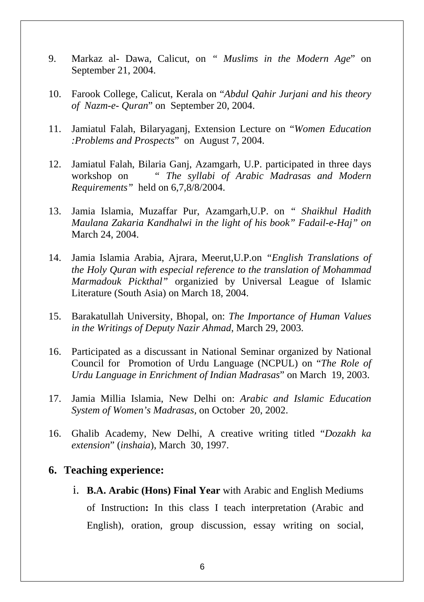- 9. Markaz al- Dawa, Calicut, on *" Muslims in the Modern Age*" on September 21, 2004.
- 10. Farook College, Calicut, Kerala on "*Abdul Qahir Jurjani and his theory of Nazm-e- Quran*" on September 20, 2004.
- 11. Jamiatul Falah, Bilaryaganj, Extension Lecture on "*Women Education :Problems and Prospects*" on August 7, 2004.
- 12. Jamiatul Falah, Bilaria Ganj, Azamgarh, U.P. participated in three days workshop on *" The syllabi of Arabic Madrasas and Modern Requirements"* held on 6,7,8/8/2004.
- 13. Jamia Islamia, Muzaffar Pur, Azamgarh,U.P. on *" Shaikhul Hadith Maulana Zakaria Kandhalwi in the light of his book" Fadail-e-Haj" on*  March 24, 2004.
- 14. Jamia Islamia Arabia, Ajrara, Meerut,U.P.on *"English Translations of the Holy Quran with especial reference to the translation of Mohammad Marmadouk Pickthal"* organizied by Universal League of Islamic Literature (South Asia) on March 18, 2004.
- 15. Barakatullah University, Bhopal, on: *The Importance of Human Values in the Writings of Deputy Nazir Ahmad*, March 29, 2003.
- 16. Participated as a discussant in National Seminar organized by National Council for Promotion of Urdu Language (NCPUL) on "*The Role of Urdu Language in Enrichment of Indian Madrasas*" on March 19, 2003.
- 17. Jamia Millia Islamia, New Delhi on: *Arabic and Islamic Education System of Women's Madrasas,* on October 20, 2002.
- 16. Ghalib Academy, New Delhi, A creative writing titled "*Dozakh ka extension*" (*inshaia*), March 30, 1997.

#### **6. Teaching experience:**

i. **B.A. Arabic (Hons) Final Year** with Arabic and English Mediums of Instruction**:** In this class I teach interpretation (Arabic and English), oration, group discussion, essay writing on social,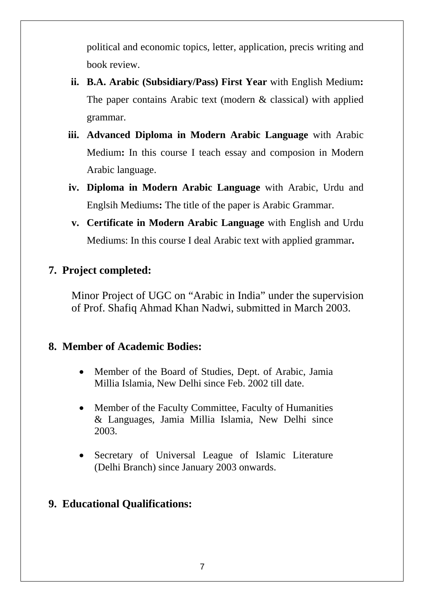political and economic topics, letter, application, precis writing and book review.

- **ii. B.A. Arabic (Subsidiary/Pass) First Year** with English Medium**:** The paper contains Arabic text (modern & classical) with applied grammar.
- **iii. Advanced Diploma in Modern Arabic Language** with Arabic Medium**:** In this course I teach essay and composion in Modern Arabic language.
- **iv. Diploma in Modern Arabic Language** with Arabic, Urdu and Englsih Mediums**:** The title of the paper is Arabic Grammar.
- **v. Certificate in Modern Arabic Language** with English and Urdu Mediums: In this course I deal Arabic text with applied grammar**.**

#### **7. Project completed:**

Minor Project of UGC on "Arabic in India" under the supervision of Prof. Shafiq Ahmad Khan Nadwi, submitted in March 2003.

#### **8. Member of Academic Bodies:**

- Member of the Board of Studies, Dept. of Arabic, Jamia Millia Islamia, New Delhi since Feb. 2002 till date.
- Member of the Faculty Committee, Faculty of Humanities & Languages, Jamia Millia Islamia, New Delhi since 2003.
- Secretary of Universal League of Islamic Literature (Delhi Branch) since January 2003 onwards.

#### **9. Educational Qualifications:**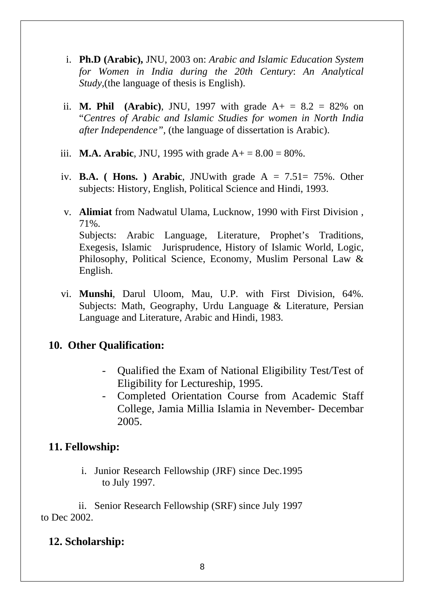- i. **Ph.D (Arabic),** JNU, 2003 on: *Arabic and Islamic Education System for Women in India during the 20th Century*: *An Analytical Study,*(the language of thesis is English).
- ii. **M. Phil** (**Arabic**), JNU, 1997 with grade  $A_+ = 8.2 = 82\%$  on "*Centres of Arabic and Islamic Studies for women in North India after Independence",* (the language of dissertation is Arabic).
- iii. **M.A. Arabic**, JNU, 1995 with grade  $A_+ = 8.00 = 80\%$ .
- iv. **B.A. ( Hons. ) Arabic**, JNUwith grade A = 7.51= 75%. Other subjects: History, English, Political Science and Hindi, 1993.
- v. **Alimiat** from Nadwatul Ulama, Lucknow, 1990 with First Division , 71%. Subjects: Arabic Language, Literature, Prophet's Traditions, Exegesis, Islamic Jurisprudence, History of Islamic World, Logic, Philosophy, Political Science, Economy, Muslim Personal Law & English.
- vi. **Munshi**, Darul Uloom, Mau, U.P. with First Division, 64%. Subjects: Math, Geography, Urdu Language & Literature, Persian Language and Literature, Arabic and Hindi, 1983.

## **10. Other Qualification:**

- Qualified the Exam of National Eligibility Test/Test of Eligibility for Lectureship, 1995.
- Completed Orientation Course from Academic Staff College, Jamia Millia Islamia in Nevember- Decembar 2005.

## **11. Fellowship:**

i. Junior Research Fellowship (JRF) since Dec.1995 to July 1997.

ii. Senior Research Fellowship (SRF) since July 1997 to Dec 2002.

## **12. Scholarship:**